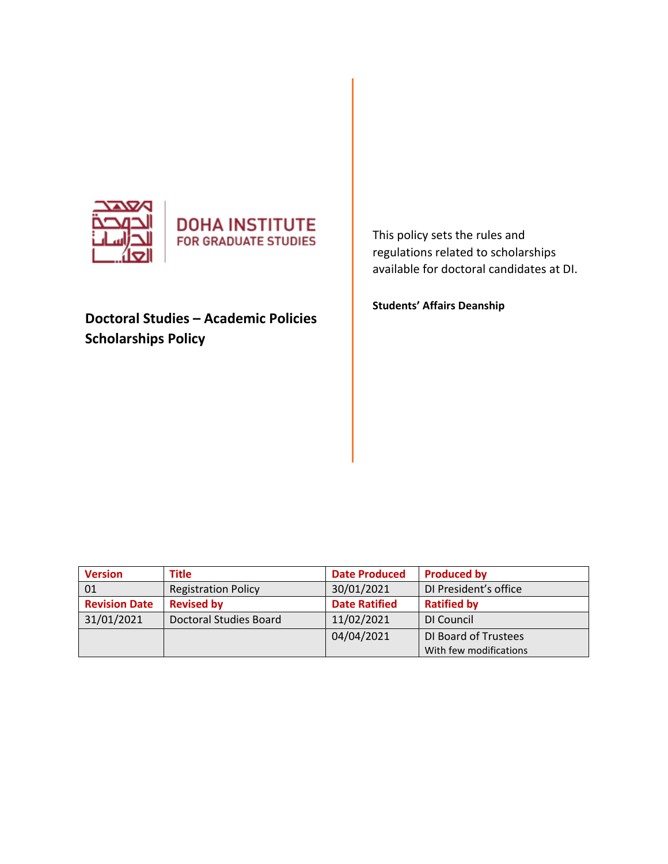



# **Doctoral Studies – Academic Policies Scholarships Policy**

This policy sets the rules and regulations related to scholarships available for doctoral candidates at DI.

**Students' Affairs Deanship** 

| <b>Version</b>       | Title                      | <b>Date Produced</b> | <b>Produced by</b>     |
|----------------------|----------------------------|----------------------|------------------------|
| 01                   | <b>Registration Policy</b> | 30/01/2021           | DI President's office  |
| <b>Revision Date</b> | <b>Revised by</b>          | <b>Date Ratified</b> | <b>Ratified by</b>     |
| 31/01/2021           | Doctoral Studies Board     | 11/02/2021           | DI Council             |
|                      |                            | 04/04/2021           | DI Board of Trustees   |
|                      |                            |                      | With few modifications |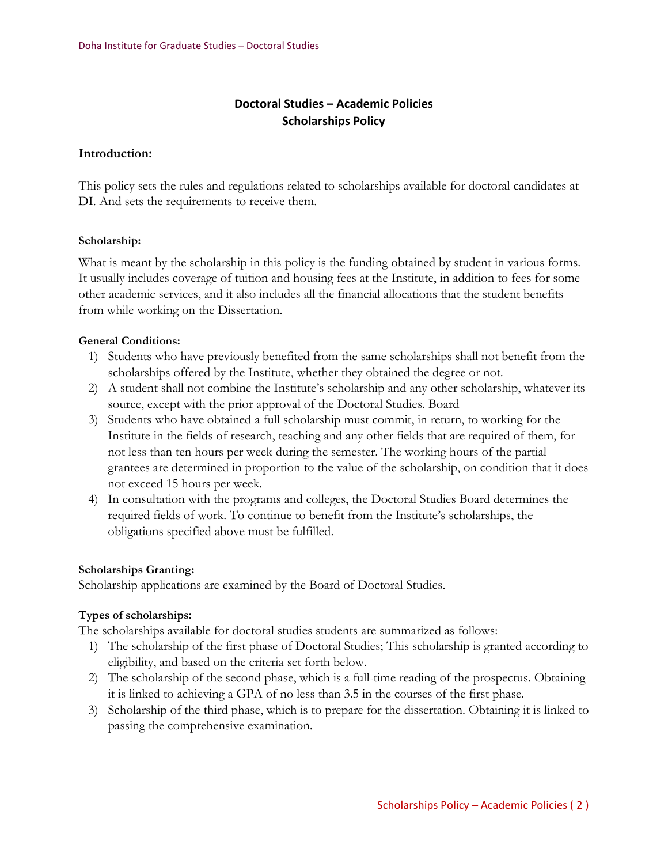## **Doctoral Studies – Academic Policies Scholarships Policy**

#### **Introduction:**

This policy sets the rules and regulations related to scholarships available for doctoral candidates at DI. And sets the requirements to receive them.

#### **Scholarship:**

What is meant by the scholarship in this policy is the funding obtained by student in various forms. It usually includes coverage of tuition and housing fees at the Institute, in addition to fees for some other academic services, and it also includes all the financial allocations that the student benefits from while working on the Dissertation.

#### **General Conditions:**

- 1) Students who have previously benefited from the same scholarships shall not benefit from the scholarships offered by the Institute, whether they obtained the degree or not.
- 2) A student shall not combine the Institute's scholarship and any other scholarship, whatever its source, except with the prior approval of the Doctoral Studies. Board
- 3) Students who have obtained a full scholarship must commit, in return, to working for the Institute in the fields of research, teaching and any other fields that are required of them, for not less than ten hours per week during the semester. The working hours of the partial grantees are determined in proportion to the value of the scholarship, on condition that it does not exceed 15 hours per week.
- 4) In consultation with the programs and colleges, the Doctoral Studies Board determines the required fields of work. To continue to benefit from the Institute's scholarships, the obligations specified above must be fulfilled.

#### **Scholarships Granting:**

Scholarship applications are examined by the Board of Doctoral Studies.

#### **Types of scholarships:**

The scholarships available for doctoral studies students are summarized as follows:

- 1) The scholarship of the first phase of Doctoral Studies; This scholarship is granted according to eligibility, and based on the criteria set forth below.
- 2) The scholarship of the second phase, which is a full-time reading of the prospectus. Obtaining it is linked to achieving a GPA of no less than 3.5 in the courses of the first phase.
- 3) Scholarship of the third phase, which is to prepare for the dissertation. Obtaining it is linked to passing the comprehensive examination.